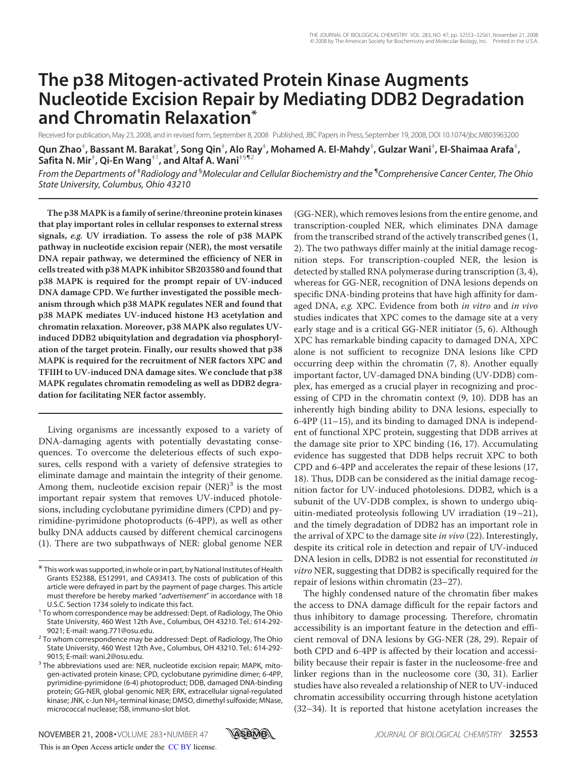# **The p38 Mitogen-activated Protein Kinase Augments Nucleotide Excision Repair by Mediating DDB2 Degradation and Chromatin Relaxation\***

Received for publication, May 23, 2008, and in revised form, September 8, 2008 Published, JBC Papers in Press, September 19, 2008, DOI 10.1074/jbc.M803963200

Qun Zhao<sup>‡</sup>, Bassant M. Barakat<sup>‡</sup>, Song Qin<sup>‡</sup>, Alo Ray<sup>‡</sup>, Mohamed A. El-Mahdy<sup>‡</sup>, Gulzar Wani<sup>‡</sup>, El-Shaimaa Arafa<sup>‡</sup>,  $S$ afita N. Mir<sup>‡</sup>, Qi-En Wang<sup>‡1</sup>, and Altaf A. Wani<sup>‡§¶2</sup>

*From the Departments of* ‡ *Radiology and* §*Molecular and Cellular Biochemistry and the* ¶ *Comprehensive Cancer Center, The Ohio State University, Columbus, Ohio 43210*

**The p38 MAPK is a family of serine/threonine protein kinases that play important roles in cellular responses to external stress signals, e.g. UV irradiation. To assess the role of p38 MAPK pathway in nucleotide excision repair (NER), the most versatile DNA repair pathway, we determined the efficiency of NER in cells treated with p38 MAPK inhibitor SB203580 and found that p38 MAPK is required for the prompt repair of UV-induced DNA damage CPD. We further investigated the possible mechanism through which p38 MAPK regulates NER and found that p38 MAPK mediates UV-induced histone H3 acetylation and chromatin relaxation. Moreover, p38 MAPK also regulates UVinduced DDB2 ubiquitylation and degradation via phosphorylation of the target protein. Finally, our results showed that p38 MAPK is required for the recruitment of NER factors XPC and TFIIH to UV-induced DNA damage sites. We conclude that p38 MAPK regulates chromatin remodeling as well as DDB2 degradation for facilitating NER factor assembly.**

Living organisms are incessantly exposed to a variety of DNA-damaging agents with potentially devastating consequences. To overcome the deleterious effects of such exposures, cells respond with a variety of defensive strategies to eliminate damage and maintain the integrity of their genome. Among them, nucleotide excision repair (NER)<sup>3</sup> is the most important repair system that removes UV-induced photolesions, including cyclobutane pyrimidine dimers (CPD) and pyrimidine-pyrimidone photoproducts (6-4PP), as well as other bulky DNA adducts caused by different chemical carcinogens (1). There are two subpathways of NER: global genome NER

(GG-NER), which removes lesions from the entire genome, and transcription-coupled NER, which eliminates DNA damage from the transcribed strand of the actively transcribed genes (1, 2). The two pathways differ mainly at the initial damage recognition steps. For transcription-coupled NER, the lesion is detected by stalled RNA polymerase during transcription (3, 4), whereas for GG-NER, recognition of DNA lesions depends on specific DNA-binding proteins that have high affinity for damaged DNA, e.g. XPC. Evidence from both in vitro and in vivo studies indicates that XPC comes to the damage site at a very early stage and is a critical GG-NER initiator (5, 6). Although XPC has remarkable binding capacity to damaged DNA, XPC alone is not sufficient to recognize DNA lesions like CPD occurring deep within the chromatin (7, 8). Another equally important factor, UV-damaged DNA binding (UV-DDB) complex, has emerged as a crucial player in recognizing and processing of CPD in the chromatin context (9, 10). DDB has an inherently high binding ability to DNA lesions, especially to 6-4PP (11–15), and its binding to damaged DNA is independent of functional XPC protein, suggesting that DDB arrives at the damage site prior to XPC binding (16, 17). Accumulating evidence has suggested that DDB helps recruit XPC to both CPD and 6-4PP and accelerates the repair of these lesions (17, 18). Thus, DDB can be considered as the initial damage recognition factor for UV-induced photolesions. DDB2, which is a subunit of the UV-DDB complex, is shown to undergo ubiquitin-mediated proteolysis following UV irradiation (19–21), and the timely degradation of DDB2 has an important role in the arrival of XPC to the damage site in vivo (22). Interestingly, despite its critical role in detection and repair of UV-induced DNA lesion in cells, DDB2 is not essential for reconstituted in vitro NER, suggesting that DDB2 is specifically required for the repair of lesions within chromatin (23–27).

The highly condensed nature of the chromatin fiber makes the access to DNA damage difficult for the repair factors and thus inhibitory to damage processing. Therefore, chromatin accessibility is an important feature in the detection and efficient removal of DNA lesions by GG-NER (28, 29). Repair of both CPD and 6-4PP is affected by their location and accessibility because their repair is faster in the nucleosome-free and linker regions than in the nucleosome core (30, 31). Earlier studies have also revealed a relationship of NER to UV-induced chromatin accessibility occurring through histone acetylation (32–34). It is reported that histone acetylation increases the



<sup>\*</sup> This work was supported, in whole or in part, by National Institutes of Health Grants ES2388, ES12991, and CA93413. The costs of publication of this article were defrayed in part by the payment of page charges. This article must therefore be hereby marked "*advertisement*" in accordance with 18 U.S.C. Section 1734 solely to indicate this fact.

<sup>&</sup>lt;sup>1</sup> To whom correspondence may be addressed: Dept. of Radiology, The Ohio State University, 460 West 12th Ave., Columbus, OH 43210. Tel.: 614-292- 9021; E-mail: wang.771@osu.edu.

<sup>&</sup>lt;sup>2</sup> To whom correspondence may be addressed: Dept. of Radiology, The Ohio State University, 460 West 12th Ave., Columbus, OH 43210. Tel.: 614-292- 9015; E-mail: wani.2@osu.edu.

<sup>&</sup>lt;sup>3</sup> The abbreviations used are: NER, nucleotide excision repair; MAPK, mitogen-activated protein kinase; CPD, cyclobutane pyrimidine dimer; 6-4PP, pyrimidine-pyrimidone (6-4) photoproduct; DDB, damaged DNA-binding protein; GG-NER, global genomic NER; ERK, extracellular signal-regulated kinase; JNK, c-Jun NH<sub>2</sub>-terminal kinase; DMSO, dimethyl sulfoxide; MNase, micrococcal nuclease; ISB, immuno-slot blot.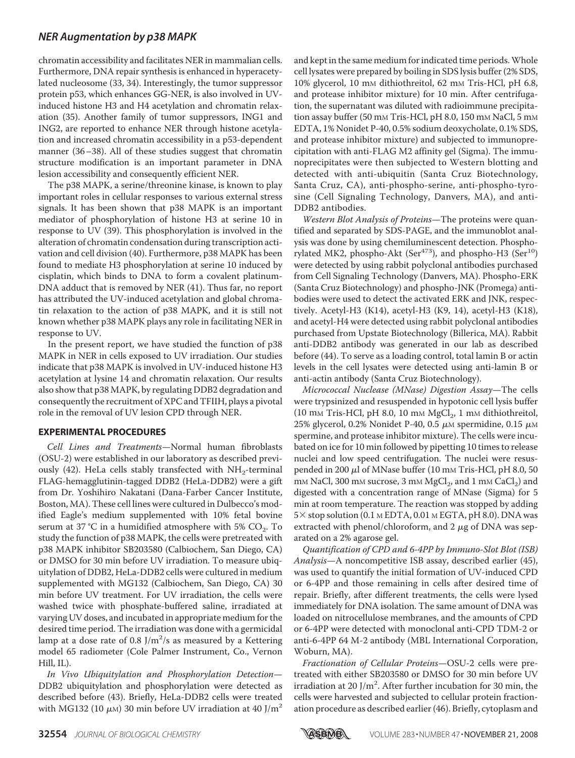chromatin accessibility and facilitates NER in mammalian cells. Furthermore, DNA repair synthesis is enhanced in hyperacetylated nucleosome (33, 34). Interestingly, the tumor suppressor protein p53, which enhances GG-NER, is also involved in UVinduced histone H3 and H4 acetylation and chromatin relaxation (35). Another family of tumor suppressors, ING1 and ING2, are reported to enhance NER through histone acetylation and increased chromatin accessibility in a p53-dependent manner (36–38). All of these studies suggest that chromatin structure modification is an important parameter in DNA lesion accessibility and consequently efficient NER.

The p38 MAPK, a serine/threonine kinase, is known to play important roles in cellular responses to various external stress signals. It has been shown that p38 MAPK is an important mediator of phosphorylation of histone H3 at serine 10 in response to UV (39). This phosphorylation is involved in the alteration of chromatin condensation during transcription activation and cell division (40). Furthermore, p38 MAPK has been found to mediate H3 phosphorylation at serine 10 induced by cisplatin, which binds to DNA to form a covalent platinum-DNA adduct that is removed by NER (41). Thus far, no report has attributed the UV-induced acetylation and global chromatin relaxation to the action of p38 MAPK, and it is still not known whether p38 MAPK plays any role in facilitating NER in response to UV.

In the present report, we have studied the function of p38 MAPK in NER in cells exposed to UV irradiation. Our studies indicate that p38 MAPK is involved in UV-induced histone H3 acetylation at lysine 14 and chromatin relaxation. Our results also show that p38 MAPK, by regulating DDB2 degradation and consequently the recruitment of XPC and TFIIH, plays a pivotal role in the removal of UV lesion CPD through NER.

#### **EXPERIMENTAL PROCEDURES**

Cell Lines and Treatments—Normal human fibroblasts (OSU-2) were established in our laboratory as described previously (42). HeLa cells stably transfected with  $NH_2$ -terminal FLAG-hemagglutinin-tagged DDB2 (HeLa-DDB2) were a gift from Dr. Yoshihiro Nakatani (Dana-Farber Cancer Institute, Boston, MA). These cell lines were cultured in Dulbecco's modified Eagle's medium supplemented with 10% fetal bovine serum at 37 °C in a humidified atmosphere with 5%  $\mathrm{CO}_2$ . To study the function of p38 MAPK, the cells were pretreated with p38 MAPK inhibitor SB203580 (Calbiochem, San Diego, CA) or DMSO for 30 min before UV irradiation. To measure ubiquitylation of DDB2, HeLa-DDB2 cells were cultured in medium supplemented with MG132 (Calbiochem, San Diego, CA) 30 min before UV treatment. For UV irradiation, the cells were washed twice with phosphate-buffered saline, irradiated at varying UV doses, and incubated in appropriate medium for the desired time period. The irradiation was done with a germicidal lamp at a dose rate of 0.8 J/m<sup>2</sup>/s as measured by a Kettering model 65 radiometer (Cole Palmer Instrument, Co., Vernon Hill, IL).

In Vivo Ubiquitylation and Phosphorylation Detection— DDB2 ubiquitylation and phosphorylation were detected as described before (43). Briefly, HeLa-DDB2 cells were treated with MG132 (10  $\mu$ M) 30 min before UV irradiation at 40 J/m<sup>2</sup> and kept in the same medium for indicated time periods.Whole cell lysates were prepared by boiling in SDS lysis buffer (2% SDS, 10% glycerol, 10 mm dithiothreitol, 62 mm Tris-HCl, pH 6.8, and protease inhibitor mixture) for 10 min. After centrifugation, the supernatant was diluted with radioimmune precipitation assay buffer (50 mm Tris-HCl, pH 8.0, 150 mm NaCl, 5 mm EDTA, 1% Nonidet P-40, 0.5% sodium deoxycholate, 0.1% SDS, and protease inhibitor mixture) and subjected to immunoprecipitation with anti-FLAG M2 affinity gel (Sigma). The immunoprecipitates were then subjected to Western blotting and detected with anti-ubiquitin (Santa Cruz Biotechnology, Santa Cruz, CA), anti-phospho-serine, anti-phospho-tyrosine (Cell Signaling Technology, Danvers, MA), and anti-DDB2 antibodies.

Western Blot Analysis of Proteins—The proteins were quantified and separated by SDS-PAGE, and the immunoblot analysis was done by using chemiluminescent detection. Phosphorylated MK2, phospho-Akt (Ser<sup>473</sup>), and phospho-H3 (Ser<sup>10</sup>) were detected by using rabbit polyclonal antibodies purchased from Cell Signaling Technology (Danvers, MA). Phospho-ERK (Santa Cruz Biotechnology) and phospho-JNK (Promega) antibodies were used to detect the activated ERK and JNK, respectively. Acetyl-H3 (K14), acetyl-H3 (K9, 14), acetyl-H3 (K18), and acetyl-H4 were detected using rabbit polyclonal antibodies purchased from Upstate Biotechnology (Billerica, MA). Rabbit anti-DDB2 antibody was generated in our lab as described before (44). To serve as a loading control, total lamin B or actin levels in the cell lysates were detected using anti-lamin B or anti-actin antibody (Santa Cruz Biotechnology).

Micrococcal Nuclease (MNase) Digestion Assay—The cells were trypsinized and resuspended in hypotonic cell lysis buffer  $(10 \text{ mm Tris-HCl, pH } 8.0, 10 \text{ mm MgCl}_2, 1 \text{ mm dithiothreitol,}$ 25% glycerol, 0.2% Nonidet P-40, 0.5  $\mu$ M spermidine, 0.15  $\mu$ M spermine, and protease inhibitor mixture). The cells were incubated on ice for 10 min followed by pipetting 10 times to release nuclei and low speed centrifugation. The nuclei were resuspended in 200  $\mu$ l of MNase buffer (10 mm Tris-HCl, pH 8.0, 50 mм NaCl, 300 mм sucrose, 3 mм  $\mathrm{MgCl}_2$ , and 1 mм CaCl $_2$ ) and digested with a concentration range of MNase (Sigma) for 5 min at room temperature. The reaction was stopped by adding  $5 \times$  stop solution (0.1 M EDTA, 0.01 M EGTA, pH 8.0). DNA was extracted with phenol/chloroform, and  $2 \mu$ g of DNA was separated on a 2% agarose gel.

Quantification of CPD and 6-4PP by Immuno-Slot Blot (ISB) Analysis—A noncompetitive ISB assay, described earlier (45), was used to quantify the initial formation of UV-induced CPD or 6-4PP and those remaining in cells after desired time of repair. Briefly, after different treatments, the cells were lysed immediately for DNA isolation. The same amount of DNA was loaded on nitrocellulose membranes, and the amounts of CPD or 6-4PP were detected with monoclonal anti-CPD TDM-2 or anti-6-4PP 64 M-2 antibody (MBL International Corporation, Woburn, MA).

Fractionation of Cellular Proteins—OSU-2 cells were pretreated with either SB203580 or DMSO for 30 min before UV irradiation at 20 J/m<sup>2</sup>. After further incubation for 30 min, the cells were harvested and subjected to cellular protein fractionation procedure as described earlier (46). Briefly, cytoplasm and

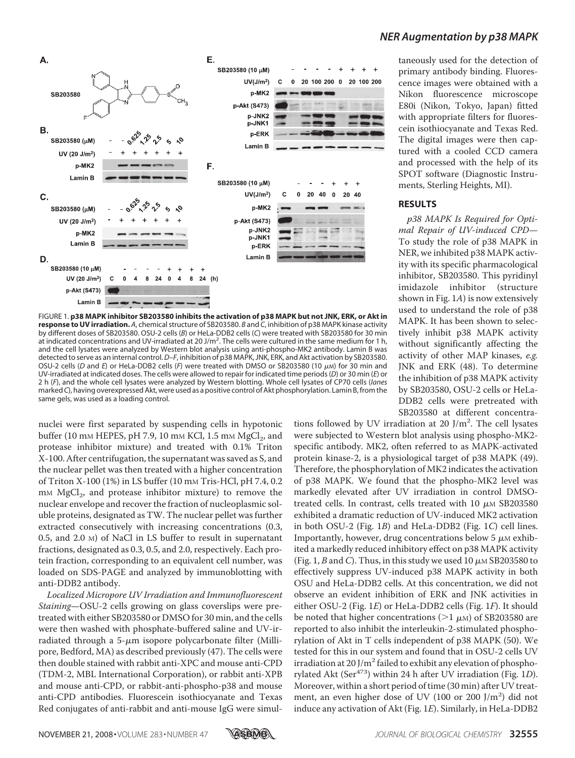

FIGURE 1. **p38 MAPK inhibitor SB203580 inhibits the activation of p38 MAPK but not JNK, ERK, or Akt in response to UV irradiation.** *A*, chemical structure of SB203580. *B* and *C*, inhibition of p38 MAPK kinase activity by different doses of SB203580. OSU-2 cells (*B*) or HeLa-DDB2 cells (*C*) were treated with SB203580 for 30 min at indicated concentrations and UV-irradiated at 20 J/m<sup>2</sup>. The cells were cultured in the same medium for 1 h, and the cell lysates were analyzed by Western blot analysis using anti-phospho-MK2 antibody. Lamin B was detected to serve as an internal control.*D–F*, inhibition of p38 MAPK, JNK, ERK, and Akt activation by SB203580. OSU-2 cells (*D* and *E*) or HeLa-DDB2 cells (*F*) were treated with DMSO or SB203580 (10  $\mu$ M) for 30 min and UV-irradiated at indicated doses. The cells were allowed to repair for indicated time periods (*D*) or 30 min (*E*) or 2h(*F*), and the whole cell lysates were analyzed by Western blotting. Whole cell lysates of CP70 cells (*lanes* marked *C*), having overexpressed Akt, were used as a positive control of Akt phosphorylation. Lamin B, from the same gels, was used as a loading control.

nuclei were first separated by suspending cells in hypotonic buffer (10 mm HEPES, pH 7.9, 10 mm KCl, 1.5 mm  $\mathrm{MgCl}_2$ , and protease inhibitor mixture) and treated with 0.1% Triton X-100. After centrifugation, the supernatant was saved as S, and the nuclear pellet was then treated with a higher concentration of Triton X-100 (1%) in LS buffer (10 mM Tris-HCl, pH 7.4, 0.2  $\text{mM MgCl}_2$ , and protease inhibitor mixture) to remove the nuclear envelope and recover the fraction of nucleoplasmic soluble proteins, designated as TW. The nuclear pellet was further extracted consecutively with increasing concentrations (0.3, 0.5, and 2.0 M) of NaCl in LS buffer to result in supernatant fractions, designated as 0.3, 0.5, and 2.0, respectively. Each protein fraction, corresponding to an equivalent cell number, was loaded on SDS-PAGE and analyzed by immunoblotting with anti-DDB2 antibody.

Localized Micropore UV Irradiation and Immunofluorescent Staining—OSU-2 cells growing on glass coverslips were pretreated with either SB203580 or DMSO for 30 min, and the cells were then washed with phosphate-buffered saline and UV-irradiated through a  $5-\mu m$  isopore polycarbonate filter (Millipore, Bedford, MA) as described previously (47). The cells were then double stained with rabbit anti-XPC and mouse anti-CPD (TDM-2, MBL International Corporation), or rabbit anti-XPB and mouse anti-CPD, or rabbit-anti-phospho-p38 and mouse anti-CPD antibodies. Fluorescein isothiocyanate and Texas Red conjugates of anti-rabbit and anti-mouse IgG were simultaneously used for the detection of primary antibody binding. Fluorescence images were obtained with a Nikon fluorescence microscope E80i (Nikon, Tokyo, Japan) fitted with appropriate filters for fluorescein isothiocyanate and Texas Red. The digital images were then captured with a cooled CCD camera and processed with the help of its SPOT software (Diagnostic Instruments, Sterling Heights, MI).

#### **RESULTS**

p38 MAPK Is Required for Optimal Repair of UV-induced CPD— To study the role of p38 MAPK in NER, we inhibited p38 MAPK activity with its specific pharmacological inhibitor, SB203580. This pyridinyl imidazole inhibitor (structure shown in Fig. 1A) is now extensively used to understand the role of p38 MAPK. It has been shown to selectively inhibit p38 MAPK activity without significantly affecting the activity of other MAP kinases, e.g. JNK and ERK (48). To determine the inhibition of p38 MAPK activity by SB203580, OSU-2 cells or HeLa-DDB2 cells were pretreated with SB203580 at different concentra-

tions followed by UV irradiation at 20  $J/m^2$ . The cell lysates were subjected to Western blot analysis using phospho-MK2 specific antibody. MK2, often referred to as MAPK-activated protein kinase-2, is a physiological target of p38 MAPK (49). Therefore, the phosphorylation of MK2 indicates the activation of p38 MAPK. We found that the phospho-MK2 level was markedly elevated after UV irradiation in control DMSOtreated cells. In contrast, cells treated with 10  $\mu$ M SB203580 exhibited a dramatic reduction of UV-induced MK2 activation in both OSU-2 (Fig. 1B) and HeLa-DDB2 (Fig. 1C) cell lines. Importantly, however, drug concentrations below  $5 \mu M$  exhibited a markedly reduced inhibitory effect on p38 MAPK activity (Fig. 1, B and C). Thus, in this study we used 10  $\mu$ M SB203580 to effectively suppress UV-induced p38 MAPK activity in both OSU and HeLa-DDB2 cells. At this concentration, we did not observe an evident inhibition of ERK and JNK activities in either OSU-2 (Fig. 1E) or HeLa-DDB2 cells (Fig. 1F). It should be noted that higher concentrations ( $>1 \mu$ M) of SB203580 are reported to also inhibit the interleukin-2-stimulated phosphorylation of Akt in T cells independent of p38 MAPK (50). We tested for this in our system and found that in OSU-2 cells UV irradiation at 20 J/m<sup>2</sup> failed to exhibit any elevation of phosphorylated Akt (Ser $473$ ) within 24 h after UV irradiation (Fig. 1D). Moreover, within a short period of time (30 min) after UV treatment, an even higher dose of UV (100 or 200 J/m<sup>2</sup>) did not induce any activation of Akt (Fig. 1E). Similarly, in HeLa-DDB2

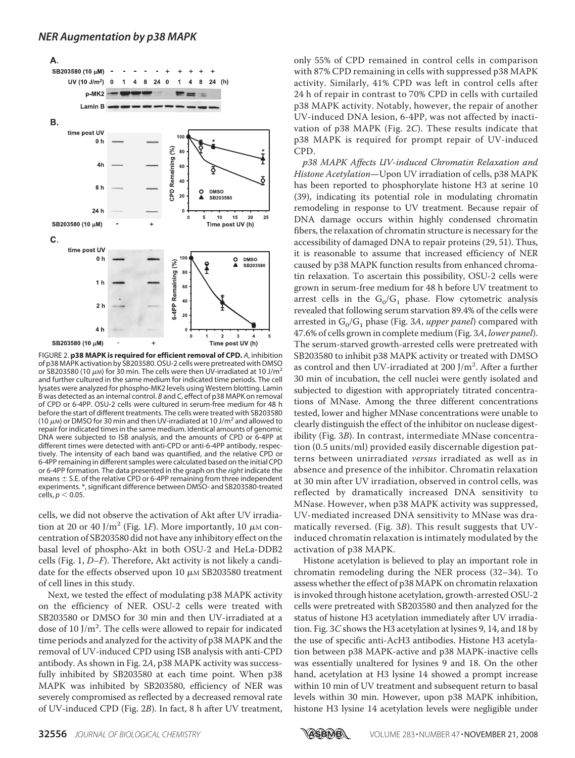

FIGURE 2. **p38 MAPK is required for efficient removal of CPD.** *A*, inhibition of p38 MAPK activation by SB203580. OSU-2 cells were pretreated with DMSO or SB203580 (10  $\mu$ m) for 30 min. The cells were then UV-irradiated at 10 J/m<sup>2</sup> and further cultured in the same medium for indicated time periods. The cell lysates were analyzed for phospho-MK2 levels using Western blotting. Lamin B was detected as an internal control. *B* and *C*, effect of p38 MAPK on removal of CPD or 6-4PP. OSU-2 cells were cultured in serum-free medium for 48 h before the start of different treatments. The cells were treated with SB203580 (10  $\mu$ M) or DMSO for 30 min and then UV-irradiated at 10 J/m<sup>2</sup> and allowed to repair for indicated times in the same medium. Identical amounts of genomic DNA were subjected to ISB analysis, and the amounts of CPD or 6-4PP at different times were detected with anti-CPD or anti-6-4PP antibody, respectively. The intensity of each band was quantified, and the relative CPD or 6-4PP remaining in different samples were calculated based on the initial CPD or 6-4PP formation. The data presented in the graph on the *right* indicate the means  $\pm$  S.E. of the relative CPD or 6-4PP remaining from three independent experiments. \*, significant difference between DMSO- and SB203580-treated  $cells. p < 0.05$ .

cells, we did not observe the activation of Akt after UV irradiation at 20 or 40 J/m<sup>2</sup> (Fig. 1*F*). More importantly, 10  $\mu$ M concentration of SB203580 did not have any inhibitory effect on the basal level of phospho-Akt in both OSU-2 and HeLa-DDB2 cells (Fig. 1, D–F). Therefore, Akt activity is not likely a candidate for the effects observed upon 10  $\mu$ M SB203580 treatment of cell lines in this study.

Next, we tested the effect of modulating p38 MAPK activity on the efficiency of NER. OSU-2 cells were treated with SB203580 or DMSO for 30 min and then UV-irradiated at a dose of 10 J/m<sup>2</sup>. The cells were allowed to repair for indicated time periods and analyzed for the activity of p38 MAPK and the removal of UV-induced CPD using ISB analysis with anti-CPD antibody. As shown in Fig. 2A, p38 MAPK activity was successfully inhibited by SB203580 at each time point. When p38 MAPK was inhibited by SB203580, efficiency of NER was severely compromised as reflected by a decreased removal rate of UV-induced CPD (Fig. 2B). In fact, 8 h after UV treatment,

only 55% of CPD remained in control cells in comparison with 87% CPD remaining in cells with suppressed p38 MAPK activity. Similarly, 41% CPD was left in control cells after 24 h of repair in contrast to 70% CPD in cells with curtailed p38 MAPK activity. Notably, however, the repair of another UV-induced DNA lesion, 6-4PP, was not affected by inactivation of p38 MAPK (Fig. 2C). These results indicate that p38 MAPK is required for prompt repair of UV-induced CPD.

p38 MAPK Affects UV-induced Chromatin Relaxation and Histone Acetylation—Upon UV irradiation of cells, p38 MAPK has been reported to phosphorylate histone H3 at serine 10 (39), indicating its potential role in modulating chromatin remodeling in response to UV treatment. Because repair of DNA damage occurs within highly condensed chromatin fibers, the relaxation of chromatin structure is necessary for the accessibility of damaged DNA to repair proteins (29, 51). Thus, it is reasonable to assume that increased efficiency of NER caused by p38 MAPK function results from enhanced chromatin relaxation. To ascertain this possibility, OSU-2 cells were grown in serum-free medium for 48 h before UV treatment to arrest cells in the  $G_0/G_1$  phase. Flow cytometric analysis revealed that following serum starvation 89.4% of the cells were arrested in  $\mathrm{G_{0}}/\mathrm{G_{1}}$  phase (Fig. 3*A, upper panel*) compared with 47.6% of cells grown in complete medium (Fig. 3A, lower panel). The serum-starved growth-arrested cells were pretreated with SB203580 to inhibit p38 MAPK activity or treated with DMSO as control and then UV-irradiated at 200 J/m<sup>2</sup>. After a further 30 min of incubation, the cell nuclei were gently isolated and subjected to digestion with appropriately titrated concentrations of MNase. Among the three different concentrations tested, lower and higher MNase concentrations were unable to clearly distinguish the effect of the inhibitor on nuclease digestibility (Fig. 3B). In contrast, intermediate MNase concentration (0.5 units/ml) provided easily discernable digestion patterns between unirradiated versus irradiated as well as in absence and presence of the inhibitor. Chromatin relaxation at 30 min after UV irradiation, observed in control cells, was reflected by dramatically increased DNA sensitivity to MNase. However, when p38 MAPK activity was suppressed, UV-mediated increased DNA sensitivity to MNase was dramatically reversed. (Fig. 3B). This result suggests that UVinduced chromatin relaxation is intimately modulated by the activation of p38 MAPK.

Histone acetylation is believed to play an important role in chromatin remodeling during the NER process (32–34). To assess whether the effect of p38 MAPK on chromatin relaxation is invoked through histone acetylation, growth-arrested OSU-2 cells were pretreated with SB203580 and then analyzed for the status of histone H3 acetylation immediately after UV irradiation. Fig. 3C shows the H3 acetylation at lysines 9, 14, and 18 by the use of specific anti-AcH3 antibodies. Histone H3 acetylation between p38 MAPK-active and p38 MAPK-inactive cells was essentially unaltered for lysines 9 and 18. On the other hand, acetylation at H3 lysine 14 showed a prompt increase within 10 min of UV treatment and subsequent return to basal levels within 30 min. However, upon p38 MAPK inhibition, histone H3 lysine 14 acetylation levels were negligible under

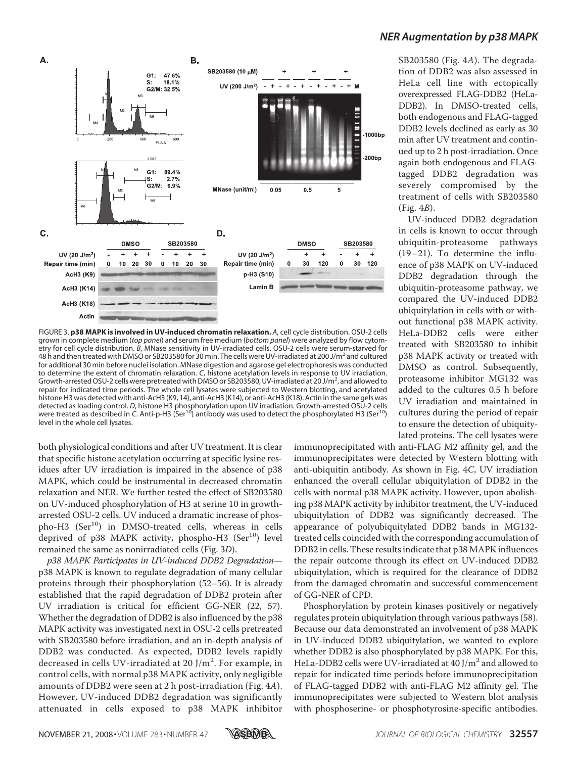

FIGURE 3. **p38 MAPK is involved in UV-induced chromatin relaxation.** *A*, cell cycle distribution. OSU-2 cells grown in complete medium (*top panel*) and serum free medium (*bottom panel*) were analyzed by flow cytometry for cell cycle distribution. *B*, MNase sensitivity in UV-irradiated cells. OSU-2 cells were serum-starved for 48 hand then treated with DMSO or SB203580 for 30 min. The cells were UV-irradiated at 200 J/m<sup>2</sup> and cultured for additional 30 min before nuclei isolation. MNase digestion and agarose gel electrophoresis was conducted to determine the extent of chromatin relaxation. *C*, histone acetylation levels in response to UV irradiation. Growth-arrested OSU-2 cells were pretreated with DMSO or SB203580, UV-irradiated at 20 J/m<sup>2</sup>, and allowed to repair for indicated time periods. The whole cell lysates were subjected to Western blotting, and acetylated histone H3 was detected with anti-AcH3 (K9, 14), anti-AcH3 (K14), or anti-AcH3 (K18). Actin in the same gels was detected as loading control. *D*, histone H3 phosphorylation upon UV irradiation. Growth-arrested OSU-2 cells were treated as described in *C*. Anti-p-H3 (Ser10) antibody was used to detect the phosphorylated H3 (Ser10) level in the whole cell lysates.

both physiological conditions and after UV treatment. It is clear that specific histone acetylation occurring at specific lysine residues after UV irradiation is impaired in the absence of p38 MAPK, which could be instrumental in decreased chromatin relaxation and NER. We further tested the effect of SB203580 on UV-induced phosphorylation of H3 at serine 10 in growtharrested OSU-2 cells. UV induced a dramatic increase of phos $pho-H3$  (Ser<sup>10</sup>) in DMSO-treated cells, whereas in cells deprived of  $p38$  MAPK activity, phospho-H3 (Ser<sup>10</sup>) level remained the same as nonirradiated cells (Fig. 3D).

p38 MAPK Participates in UV-induced DDB2 Degradation p38 MAPK is known to regulate degradation of many cellular proteins through their phosphorylation (52–56). It is already established that the rapid degradation of DDB2 protein after UV irradiation is critical for efficient GG-NER (22, 57). Whether the degradation of DDB2 is also influenced by the p38 MAPK activity was investigated next in OSU-2 cells pretreated with SB203580 before irradiation, and an in-depth analysis of DDB2 was conducted. As expected, DDB2 levels rapidly decreased in cells UV-irradiated at 20 J/m<sup>2</sup>. For example, in control cells, with normal p38 MAPK activity, only negligible amounts of DDB2 were seen at 2 h post-irradiation (Fig. 4A). However, UV-induced DDB2 degradation was significantly attenuated in cells exposed to p38 MAPK inhibitor

### *NER Augmentation by p38 MAPK*

SB203580 (Fig. 4A). The degradation of DDB2 was also assessed in HeLa cell line with ectopically overexpressed FLAG-DDB2 (HeLa-DDB2). In DMSO-treated cells, both endogenous and FLAG-tagged DDB2 levels declined as early as 30 min after UV treatment and continued up to 2 h post-irradiation. Once again both endogenous and FLAGtagged DDB2 degradation was severely compromised by the treatment of cells with SB203580 (Fig. 4B).

UV-induced DDB2 degradation in cells is known to occur through ubiquitin-proteasome pathways (19–21). To determine the influence of p38 MAPK on UV-induced DDB2 degradation through the ubiquitin-proteasome pathway, we compared the UV-induced DDB2 ubiquitylation in cells with or without functional p38 MAPK activity. HeLa-DDB2 cells were either treated with SB203580 to inhibit p38 MAPK activity or treated with DMSO as control. Subsequently, proteasome inhibitor MG132 was added to the cultures 0.5 h before UV irradiation and maintained in cultures during the period of repair to ensure the detection of ubiquitylated proteins. The cell lysates were

immunoprecipitated with anti-FLAG M2 affinity gel, and the immunoprecipitates were detected by Western blotting with anti-ubiquitin antibody. As shown in Fig. 4C, UV irradiation enhanced the overall cellular ubiquitylation of DDB2 in the cells with normal p38 MAPK activity. However, upon abolishing p38 MAPK activity by inhibitor treatment, the UV-induced ubiquitylation of DDB2 was significantly decreased. The appearance of polyubiquitylated DDB2 bands in MG132 treated cells coincided with the corresponding accumulation of DDB2 in cells. These results indicate that p38 MAPK influences the repair outcome through its effect on UV-induced DDB2 ubiquitylation, which is required for the clearance of DDB2 from the damaged chromatin and successful commencement of GG-NER of CPD.

Phosphorylation by protein kinases positively or negatively regulates protein ubiquitylation through various pathways (58). Because our data demonstrated an involvement of p38 MAPK in UV-induced DDB2 ubiquitylation, we wanted to explore whether DDB2 is also phosphorylated by p38 MAPK. For this, HeLa-DDB2 cells were UV-irradiated at 40 J/m<sup>2</sup> and allowed to repair for indicated time periods before immunoprecipitation of FLAG-tagged DDB2 with anti-FLAG M2 affinity gel. The immunoprecipitates were subjected to Western blot analysis with phosphoserine- or phosphotyrosine-specific antibodies.

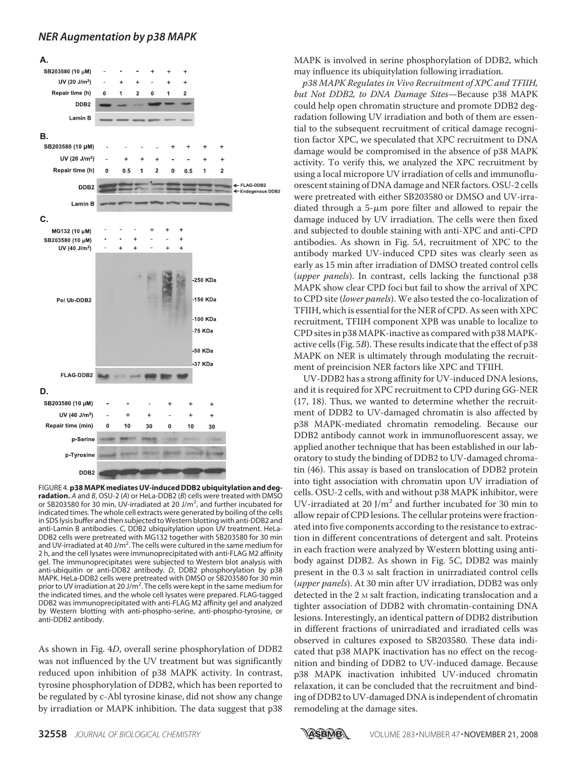

FIGURE 4.**p38 MAPK mediates UV-induced DDB2 ubiquitylation and degradation.** *A* and *B*, OSU-2 (*A*) or HeLa-DDB2 (*B*) cells were treated with DMSO or SB203580 for 30 min, UV-irradiated at 20 J/m<sup>2</sup>, and further incubated for indicated times. The whole cell extracts were generated by boiling of the cells in SDS lysis buffer and then subjected to Western blotting with anti-DDB2 and anti-Lamin B antibodies. *C*, DDB2 ubiquitylation upon UV treatment. HeLa-DDB2 cells were pretreated with MG132 together with SB203580 for 30 min and UV-irradiated at 40 J/m<sup>2</sup>. The cells were cultured in the same medium for 2 h, and the cell lysates were immunoprecipitated with anti-FLAG M2 affinity gel. The immunoprecipitates were subjected to Western blot analysis with anti-ubiquitin or anti-DDB2 antibody. *D*, DDB2 phosphorylation by p38 MAPK. HeLa-DDB2 cells were pretreated with DMSO or SB203580 for 30 min prior to UV irradiation at 20 J/m<sup>2</sup>. The cells were kept in the same medium for the indicated times, and the whole cell lysates were prepared. FLAG-tagged DDB2 was immunoprecipitated with anti-FLAG M2 affinity gel and analyzed by Western blotting with anti-phospho-serine, anti-phospho-tyrosine, or anti-DDB2 antibody.

As shown in Fig. 4D, overall serine phosphorylation of DDB2 was not influenced by the UV treatment but was significantly reduced upon inhibition of p38 MAPK activity. In contrast, tyrosine phosphorylation of DDB2, which has been reported to be regulated by c-Abl tyrosine kinase, did not show any change by irradiation or MAPK inhibition. The data suggest that p38

MAPK is involved in serine phosphorylation of DDB2, which may influence its ubiquitylation following irradiation.

p38 MAPK Regulates in Vivo Recruitment of XPC and TFIIH, but Not DDB2, to DNA Damage Sites—Because p38 MAPK could help open chromatin structure and promote DDB2 degradation following UV irradiation and both of them are essential to the subsequent recruitment of critical damage recognition factor XPC, we speculated that XPC recruitment to DNA damage would be compromised in the absence of p38 MAPK activity. To verify this, we analyzed the XPC recruitment by using a local micropore UV irradiation of cells and immunofluorescent staining of DNA damage and NER factors. OSU-2 cells were pretreated with either SB203580 or DMSO and UV-irradiated through a 5- $\mu$ m pore filter and allowed to repair the damage induced by UV irradiation. The cells were then fixed and subjected to double staining with anti-XPC and anti-CPD antibodies. As shown in Fig. 5A, recruitment of XPC to the antibody marked UV-induced CPD sites was clearly seen as early as 15 min after irradiation of DMSO treated control cells (upper panels). In contrast, cells lacking the functional p38 MAPK show clear CPD foci but fail to show the arrival of XPC to CPD site (lower panels). We also tested the co-localization of TFIIH, which is essential for the NER of CPD. As seen with XPC recruitment, TFIIH component XPB was unable to localize to CPD sites in p38 MAPK-inactive as compared with p38 MAPKactive cells (Fig. 5B). These results indicate that the effect of p38 MAPK on NER is ultimately through modulating the recruitment of preincision NER factors like XPC and TFIIH.

UV-DDB2 has a strong affinity for UV-induced DNA lesions, and it is required for XPC recruitment to CPD during GG-NER (17, 18). Thus, we wanted to determine whether the recruitment of DDB2 to UV-damaged chromatin is also affected by p38 MAPK-mediated chromatin remodeling. Because our DDB2 antibody cannot work in immunofluorescent assay, we applied another technique that has been established in our laboratory to study the binding of DDB2 to UV-damaged chromatin (46). This assay is based on translocation of DDB2 protein into tight association with chromatin upon UV irradiation of cells. OSU-2 cells, with and without p38 MAPK inhibitor, were UV-irradiated at 20  $J/m^2$  and further incubated for 30 min to allow repair of CPD lesions. The cellular proteins were fractionated into five components according to the resistance to extraction in different concentrations of detergent and salt. Proteins in each fraction were analyzed by Western blotting using antibody against DDB2. As shown in Fig. 5C, DDB2 was mainly present in the 0.3 M salt fraction in unirradiated control cells (upper panels). At 30 min after UV irradiation, DDB2 was only detected in the 2 M salt fraction, indicating translocation and a tighter association of DDB2 with chromatin-containing DNA lesions. Interestingly, an identical pattern of DDB2 distribution in different fractions of unirradiated and irradiated cells was observed in cultures exposed to SB203580. These data indicated that p38 MAPK inactivation has no effect on the recognition and binding of DDB2 to UV-induced damage. Because p38 MAPK inactivation inhibited UV-induced chromatin relaxation, it can be concluded that the recruitment and binding of DDB2 to UV-damaged DNA is independent of chromatin remodeling at the damage sites.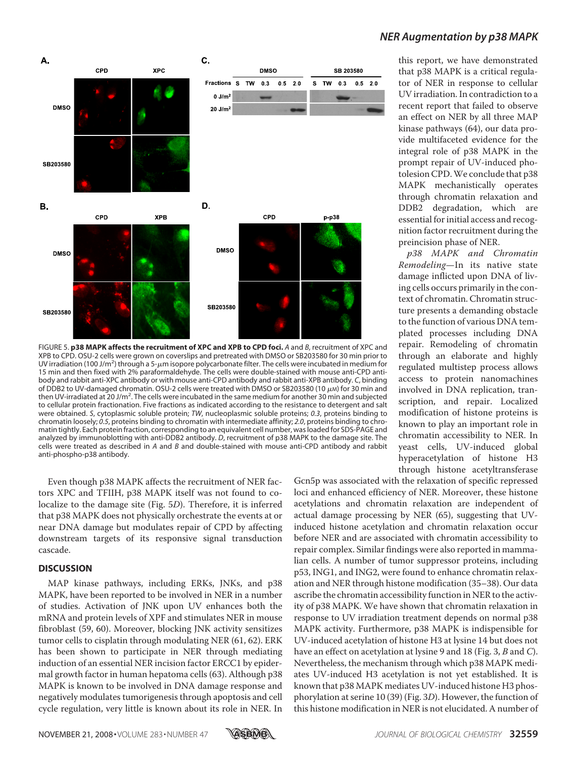

FIGURE 5. **p38 MAPK affects the recruitment of XPC and XPB to CPD foci.** *A* and *B*, recruitment of XPC and XPB to CPD. OSU-2 cells were grown on coverslips and pretreated with DMSO or SB203580 for 30 min prior to UV irradiation (100 J/m<sup>2</sup>) through a 5-µm isopore polycarbonate filter. The cells were incubated in medium for 15 min and then fixed with 2% paraformaldehyde. The cells were double-stained with mouse anti-CPD antibody and rabbit anti-XPC antibody or with mouse anti-CPD antibody and rabbit anti-XPB antibody. *C*, binding of DDB2 to UV-damaged chromatin. OSU-2 cells were treated with DMSO or SB203580 (10  $\mu$ M) for 30 min and then UV-irradiated at 20 J/m<sup>2</sup>. The cells were incubated in the same medium for another 30 min and subjected to cellular protein fractionation. Five fractions as indicated according to the resistance to detergent and salt were obtained. *S*, cytoplasmic soluble protein; *TW*, nucleoplasmic soluble proteins; *0.3*, proteins binding to chromatin loosely; *0.5*, proteins binding to chromatin with intermediate affinity; *2.0*, proteins binding to chromatin tightly. Each protein fraction, corresponding to an equivalent cell number, was loaded for SDS-PAGE and analyzed by immunoblotting with anti-DDB2 antibody. *D*, recruitment of p38 MAPK to the damage site. The cells were treated as described in *A* and *B* and double-stained with mouse anti-CPD antibody and rabbit anti-phospho-p38 antibody.

Even though p38 MAPK affects the recruitment of NER factors XPC and TFIIH, p38 MAPK itself was not found to colocalize to the damage site (Fig. 5D). Therefore, it is inferred that p38 MAPK does not physically orchestrate the events at or near DNA damage but modulates repair of CPD by affecting downstream targets of its responsive signal transduction cascade.

#### **DISCUSSION**

MAP kinase pathways, including ERKs, JNKs, and p38 MAPK, have been reported to be involved in NER in a number of studies. Activation of JNK upon UV enhances both the mRNA and protein levels of XPF and stimulates NER in mouse fibroblast (59, 60). Moreover, blocking JNK activity sensitizes tumor cells to cisplatin through modulating NER (61, 62). ERK has been shown to participate in NER through mediating induction of an essential NER incision factor ERCC1 by epidermal growth factor in human hepatoma cells (63). Although p38 MAPK is known to be involved in DNA damage response and negatively modulates tumorigenesis through apoptosis and cell cycle regulation, very little is known about its role in NER. In

# *NER Augmentation by p38 MAPK*

this report, we have demonstrated that p38 MAPK is a critical regulator of NER in response to cellular UV irradiation. In contradiction to a recent report that failed to observe an effect on NER by all three MAP kinase pathways (64), our data provide multifaceted evidence for the integral role of p38 MAPK in the prompt repair of UV-induced photolesion CPD.We conclude that p38 MAPK mechanistically operates through chromatin relaxation and DDB2 degradation, which are essential for initial access and recognition factor recruitment during the preincision phase of NER.

p38 MAPK and Chromatin Remodeling—In its native state damage inflicted upon DNA of living cells occurs primarily in the context of chromatin. Chromatin structure presents a demanding obstacle to the function of various DNA templated processes including DNA repair. Remodeling of chromatin through an elaborate and highly regulated multistep process allows access to protein nanomachines involved in DNA replication, transcription, and repair. Localized modification of histone proteins is known to play an important role in chromatin accessibility to NER. In yeast cells, UV-induced global hyperacetylation of histone H3 through histone acetyltransferase

Gcn5p was associated with the relaxation of specific repressed loci and enhanced efficiency of NER. Moreover, these histone acetylations and chromatin relaxation are independent of actual damage processing by NER (65), suggesting that UVinduced histone acetylation and chromatin relaxation occur before NER and are associated with chromatin accessibility to repair complex. Similar findings were also reported in mammalian cells. A number of tumor suppressor proteins, including p53, ING1, and ING2, were found to enhance chromatin relaxation and NER through histone modification (35–38). Our data ascribe the chromatin accessibility function in NER to the activity of p38 MAPK. We have shown that chromatin relaxation in response to UV irradiation treatment depends on normal p38 MAPK activity. Furthermore, p38 MAPK is indispensible for UV-induced acetylation of histone H3 at lysine 14 but does not have an effect on acetylation at lysine 9 and 18 (Fig. 3, B and C). Nevertheless, the mechanism through which p38 MAPK mediates UV-induced H3 acetylation is not yet established. It is known that p38 MAPK mediates UV-induced histone H3 phosphorylation at serine 10 (39) (Fig. 3D). However, the function of this histone modification in NER is not elucidated. A number of

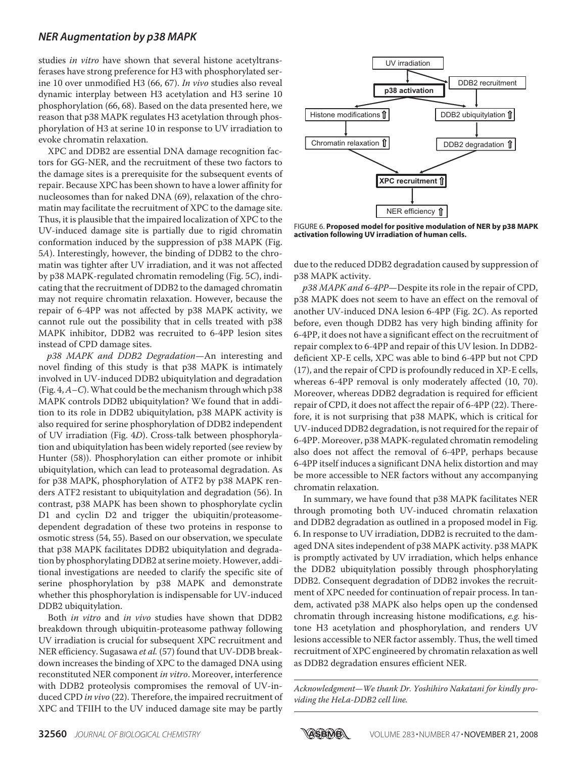studies in vitro have shown that several histone acetyltransferases have strong preference for H3 with phosphorylated serine 10 over unmodified H3 (66, 67). In vivo studies also reveal dynamic interplay between H3 acetylation and H3 serine 10 phosphorylation (66, 68). Based on the data presented here, we reason that p38 MAPK regulates H3 acetylation through phosphorylation of H3 at serine 10 in response to UV irradiation to evoke chromatin relaxation.

XPC and DDB2 are essential DNA damage recognition factors for GG-NER, and the recruitment of these two factors to the damage sites is a prerequisite for the subsequent events of repair. Because XPC has been shown to have a lower affinity for nucleosomes than for naked DNA (69), relaxation of the chromatin may facilitate the recruitment of XPC to the damage site. Thus, it is plausible that the impaired localization of XPC to the UV-induced damage site is partially due to rigid chromatin conformation induced by the suppression of p38 MAPK (Fig. 5A). Interestingly, however, the binding of DDB2 to the chromatin was tighter after UV irradiation, and it was not affected by p38 MAPK-regulated chromatin remodeling (Fig. 5C), indicating that the recruitment of DDB2 to the damaged chromatin may not require chromatin relaxation. However, because the repair of 6-4PP was not affected by p38 MAPK activity, we cannot rule out the possibility that in cells treated with p38 MAPK inhibitor, DDB2 was recruited to 6-4PP lesion sites instead of CPD damage sites.

p38 MAPK and DDB2 Degradation—An interesting and novel finding of this study is that p38 MAPK is intimately involved in UV-induced DDB2 ubiquitylation and degradation (Fig.  $4$ ,  $A$  – C). What could be the mechanism through which p38 MAPK controls DDB2 ubiquitylation? We found that in addition to its role in DDB2 ubiquitylation, p38 MAPK activity is also required for serine phosphorylation of DDB2 independent of UV irradiation (Fig. 4D). Cross-talk between phosphorylation and ubiquitylation has been widely reported (see review by Hunter (58)). Phosphorylation can either promote or inhibit ubiquitylation, which can lead to proteasomal degradation. As for p38 MAPK, phosphorylation of ATF2 by p38 MAPK renders ATF2 resistant to ubiquitylation and degradation (56). In contrast, p38 MAPK has been shown to phosphorylate cyclin D1 and cyclin D2 and trigger the ubiquitin/proteasomedependent degradation of these two proteins in response to osmotic stress (54, 55). Based on our observation, we speculate that p38 MAPK facilitates DDB2 ubiquitylation and degradation by phosphorylating DDB2 at serine moiety. However, additional investigations are needed to clarify the specific site of serine phosphorylation by p38 MAPK and demonstrate whether this phosphorylation is indispensable for UV-induced DDB2 ubiquitylation.

Both *in vitro* and *in vivo* studies have shown that DDB2 breakdown through ubiquitin-proteasome pathway following UV irradiation is crucial for subsequent XPC recruitment and NER efficiency. Sugasawa et al. (57) found that UV-DDB breakdown increases the binding of XPC to the damaged DNA using reconstituted NER component in vitro. Moreover, interference with DDB2 proteolysis compromises the removal of UV-induced CPD in vivo (22). Therefore, the impaired recruitment of XPC and TFIIH to the UV induced damage site may be partly



FIGURE 6. **Proposed model for positive modulation of NER by p38 MAPK activation following UV irradiation of human cells.**

due to the reduced DDB2 degradation caused by suppression of p38 MAPK activity.

p38 MAPK and 6-4PP—Despite its role in the repair of CPD, p38 MAPK does not seem to have an effect on the removal of another UV-induced DNA lesion 6-4PP (Fig. 2C). As reported before, even though DDB2 has very high binding affinity for 6-4PP, it does not have a significant effect on the recruitment of repair complex to 6-4PP and repair of this UV lesion. In DDB2 deficient XP-E cells, XPC was able to bind 6-4PP but not CPD (17), and the repair of CPD is profoundly reduced in XP-E cells, whereas 6-4PP removal is only moderately affected (10, 70). Moreover, whereas DDB2 degradation is required for efficient repair of CPD, it does not affect the repair of 6-4PP (22). Therefore, it is not surprising that p38 MAPK, which is critical for UV-induced DDB2 degradation, is not required for the repair of 6-4PP. Moreover, p38 MAPK-regulated chromatin remodeling also does not affect the removal of 6-4PP, perhaps because 6-4PP itself induces a significant DNA helix distortion and may be more accessible to NER factors without any accompanying chromatin relaxation.

In summary, we have found that p38 MAPK facilitates NER through promoting both UV-induced chromatin relaxation and DDB2 degradation as outlined in a proposed model in Fig. 6. In response to UV irradiation, DDB2 is recruited to the damaged DNA sites independent of p38 MAPK activity. p38 MAPK is promptly activated by UV irradiation, which helps enhance the DDB2 ubiquitylation possibly through phosphorylating DDB2. Consequent degradation of DDB2 invokes the recruitment of XPC needed for continuation of repair process. In tandem, activated p38 MAPK also helps open up the condensed chromatin through increasing histone modifications, e.g. histone H3 acetylation and phosphorylation, and renders UV lesions accessible to NER factor assembly. Thus, the well timed recruitment of XPC engineered by chromatin relaxation as well as DDB2 degradation ensures efficient NER.

Acknowledgment—We thank Dr. Yoshihiro Nakatani for kindly providing the HeLa-DDB2 cell line.